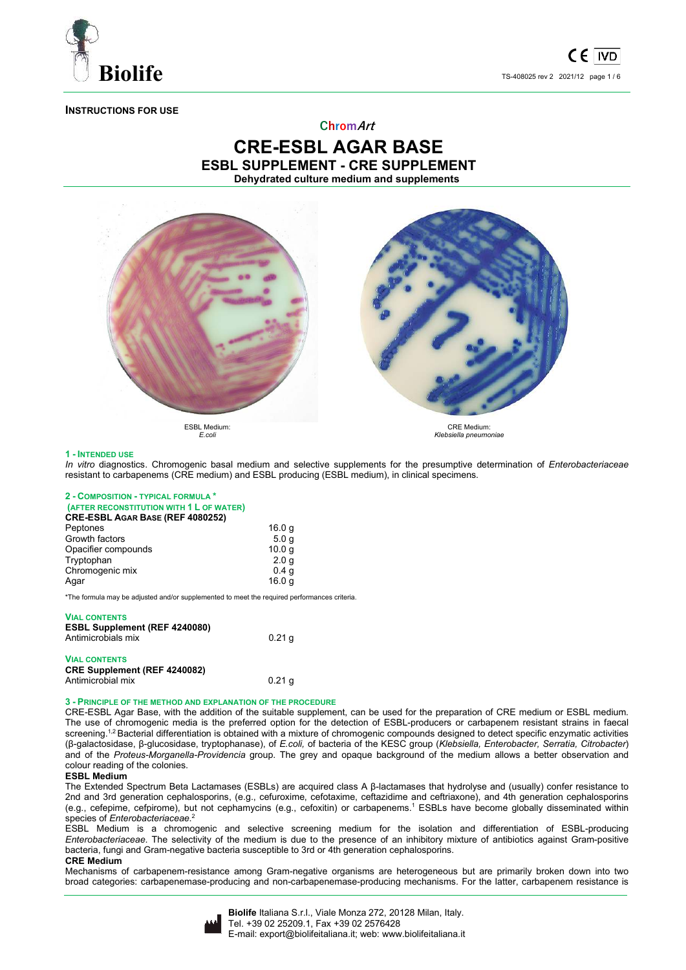

# **INSTRUCTIONS FOR USE**

## **ChromArt**

# **CRE-ESBL AGAR BASE ESBL SUPPLEMENT - CRE SUPPLEMENT Dehydrated culture medium and supplements**



*E.coli* 

*Klebsiella pneumoniae* 

## **1 - INTENDED USE**

*In vitro* diagnostics. Chromogenic basal medium and selective supplements for the presumptive determination of *Enterobacteriaceae*  resistant to carbapenems (CRE medium) and ESBL producing (ESBL medium), in clinical specimens.

#### **2 - COMPOSITION - TYPICAL FORMULA \* (AFTER RECONSTITUTION WITH 1 L OF WATER) CRE-ESBL AGAR BASE (REF 4080252)**  Peptones 16.0 g<br>Growth factors 5.0 g Growth factors Opacifier compounds 10.0 g<br>Tryptophan 2.0 g Tryptophan 2.0 g<br>Chromogenic mix 2.0 g<br>0.4 g Chromogenic mix Agar 16.0 g

\*The formula may be adjusted and/or supplemented to meet the required performances criteria.

#### **VIAL CONTENTS**

| <b>ESBL Supplement (REF 4240080)</b><br>Antimicrobials mix  | $0.21$ q |
|-------------------------------------------------------------|----------|
| <b>VIAL CONTENTS</b><br><b>CRE Supplement (REF 4240082)</b> |          |

Antimicrobial mix 0.21 g

### **3 - PRINCIPLE OF THE METHOD AND EXPLANATION OF THE PROCEDURE**

CRE-ESBL Agar Base, with the addition of the suitable supplement, can be used for the preparation of CRE medium or ESBL medium. The use of chromogenic media is the preferred option for the detection of ESBL-producers or carbapenem resistant strains in faecal screening.<sup>1,2</sup> Bacterial differentiation is obtained with a mixture of chromogenic compounds designed to detect specific enzymatic activities (β-galactosidase, β-glucosidase, tryptophanase), of *E.coli,* of bacteria of the KESC group (*Klebsiella, Enterobacter, Serratia, Citrobacter*) and of the *Proteus-Morganella-Providencia* group. The grey and opaque background of the medium allows a better observation and colour reading of the colonies.

#### **ESBL Medium**

The Extended Spectrum Beta Lactamases (ESBLs) are acquired class A β-lactamases that hydrolyse and (usually) confer resistance to 2nd and 3rd generation cephalosporins, (e.g., cefuroxime, cefotaxime, ceftazidime and ceftriaxone), and 4th generation cephalosporins (e.g., cefepime, cefpirome), but not cephamycins (e.g., cefoxitin) or carbapenems.<sup>1</sup> ESBLs have become globally disseminated within species of *Enterobacteriaceae*. 2

ESBL Medium is a chromogenic and selective screening medium for the isolation and differentiation of ESBL-producing *Enterobacteriaceae*. The selectivity of the medium is due to the presence of an inhibitory mixture of antibiotics against Gram-positive bacteria, fungi and Gram-negative bacteria susceptible to 3rd or 4th generation cephalosporins.

#### **CRE Medium**

Mechanisms of carbapenem-resistance among Gram-negative organisms are heterogeneous but are primarily broken down into two broad categories: carbapenemase-producing and non-carbapenemase-producing mechanisms. For the latter, carbapenem resistance is

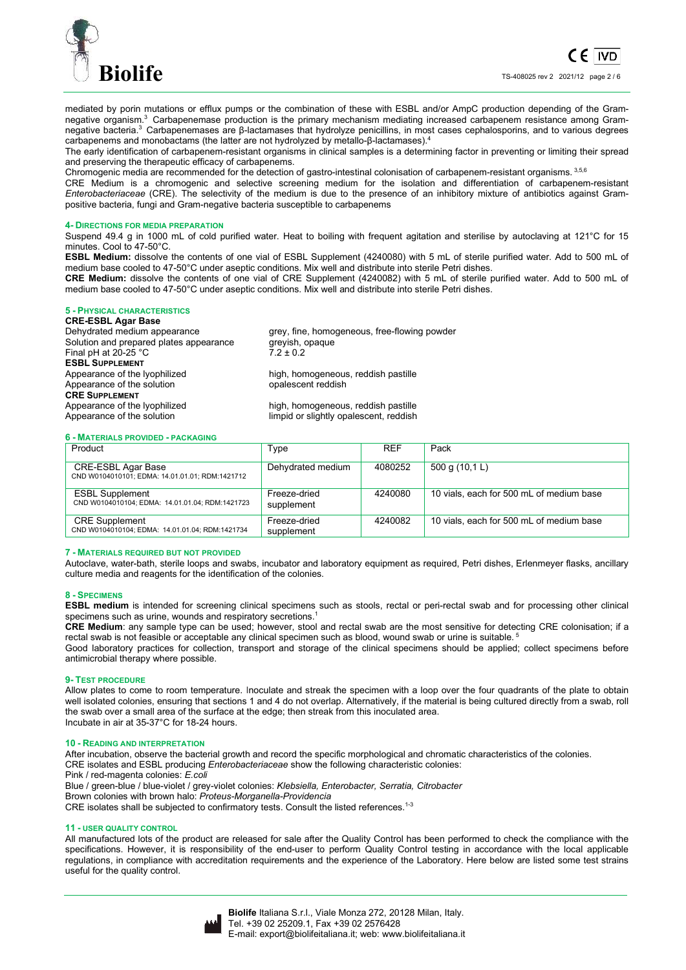

mediated by porin mutations or efflux pumps or the combination of these with ESBL and/or AmpC production depending of the Gramnegative organism.3 Carbapenemase production is the primary mechanism mediating increased carbapenem resistance among Gramnegative bacteria.<sup>3</sup> Carbapenemases are β-lactamases that hydrolyze penicillins, in most cases cephalosporins, and to various degrees carbapenems and monobactams (the latter are not hydrolyzed by metallo-β-lactamases).<sup>4</sup>

The early identification of carbapenem-resistant organisms in clinical samples is a determining factor in preventing or limiting their spread and preserving the therapeutic efficacy of carbapenems.

Chromogenic media are recommended for the detection of gastro-intestinal colonisation of carbapenem-resistant organisms. 3,5,6

CRE Medium is a chromogenic and selective screening medium for the isolation and differentiation of carbapenem-resistant *Enterobacteriaceae* (CRE). The selectivity of the medium is due to the presence of an inhibitory mixture of antibiotics against Grampositive bacteria, fungi and Gram-negative bacteria susceptible to carbapenems

## **4- DIRECTIONS FOR MEDIA PREPARATION**

Suspend 49.4 g in 1000 mL of cold purified water. Heat to boiling with frequent agitation and sterilise by autoclaving at 121°C for 15 minutes. Cool to 47-50°C.

**ESBL Medium:** dissolve the contents of one vial of ESBL Supplement (4240080) with 5 mL of sterile purified water. Add to 500 mL of medium base cooled to 47-50°C under aseptic conditions. Mix well and distribute into sterile Petri dishes.

**CRE Medium:** dissolve the contents of one vial of CRE Supplement (4240082) with 5 mL of sterile purified water. Add to 500 mL of medium base cooled to 47-50°C under aseptic conditions. Mix well and distribute into sterile Petri dishes.

## **5 - PHYSICAL CHARACTERISTICS**

# **CRE-ESBL Agar Base**

Dehydrated medium appearance entity are grey, fine, homogeneous, free-flowing powder<br>Solution and prepared plates appearance greyish, opaque Solution and prepared plates appearance greyish, opaque greyish, opaque and pH at 20-25 °C Final pH at  $20-25$  °C **ESBL SUPPLEMENT** Appearance of the lyophilized high, homogeneous, reddish pastille<br>Appearance of the solution https://www.phalescent.reddish Appearance of the solution **CRE SUPPLEMENT** Appearance of the solution limpid or slightly opalescent, reddish

high, homogeneous, reddish pastille

## **6 - MATERIALS PROVIDED - PACKAGING**

| Product                                                                   | Type                       | <b>REF</b> | Pack                                     |
|---------------------------------------------------------------------------|----------------------------|------------|------------------------------------------|
| CRE-ESBL Agar Base<br>CND W0104010101; EDMA: 14.01.01.01; RDM:1421712     | Dehydrated medium          | 4080252    | 500 g (10,1 L)                           |
| <b>ESBL Supplement</b><br>CND W0104010104; EDMA: 14.01.01.04; RDM:1421723 | Freeze-dried<br>supplement | 4240080    | 10 vials, each for 500 mL of medium base |
| <b>CRE</b> Supplement<br>CND W0104010104; EDMA: 14.01.01.04; RDM:1421734  | Freeze-dried<br>supplement | 4240082    | 10 vials, each for 500 mL of medium base |

#### **7 - MATERIALS REQUIRED BUT NOT PROVIDED**

Autoclave, water-bath, sterile loops and swabs, incubator and laboratory equipment as required, Petri dishes, Erlenmeyer flasks, ancillary culture media and reagents for the identification of the colonies.

#### **8 - SPECIMENS**

**ESBL medium** is intended for screening clinical specimens such as stools, rectal or peri-rectal swab and for processing other clinical specimens such as urine, wounds and respiratory secretions.<sup>1</sup>

**CRE Medium**: any sample type can be used; however, stool and rectal swab are the most sensitive for detecting CRE colonisation; if a rectal swab is not feasible or acceptable any clinical specimen such as blood, wound swab or urine is suitable.<sup>5</sup>

Good laboratory practices for collection, transport and storage of the clinical specimens should be applied; collect specimens before antimicrobial therapy where possible.

#### **9- TEST PROCEDURE**

Allow plates to come to room temperature. Inoculate and streak the specimen with a loop over the four quadrants of the plate to obtain well isolated colonies, ensuring that sections 1 and 4 do not overlap. Alternatively, if the material is being cultured directly from a swab, roll the swab over a small area of the surface at the edge; then streak from this inoculated area. Incubate in air at 35-37°C for 18-24 hours.

#### **10 - READING AND INTERPRETATION**

After incubation, observe the bacterial growth and record the specific morphological and chromatic characteristics of the colonies.

CRE isolates and ESBL producing *Enterobacteriaceae* show the following characteristic colonies:

Pink / red-magenta colonies: *E.coli*

Blue / green-blue / blue-violet / grey-violet colonies: *Klebsiella, Enterobacter, Serratia, Citrobacter*

Brown colonies with brown halo: *Proteus-Morganella-Providencia*

CRE isolates shall be subjected to confirmatory tests. Consult the listed references.<sup>1-3</sup>

### **11 - USER QUALITY CONTROL**

All manufactured lots of the product are released for sale after the Quality Control has been performed to check the compliance with the specifications. However, it is responsibility of the end-user to perform Quality Control testing in accordance with the local applicable regulations, in compliance with accreditation requirements and the experience of the Laboratory. Here below are listed some test strains useful for the quality control.

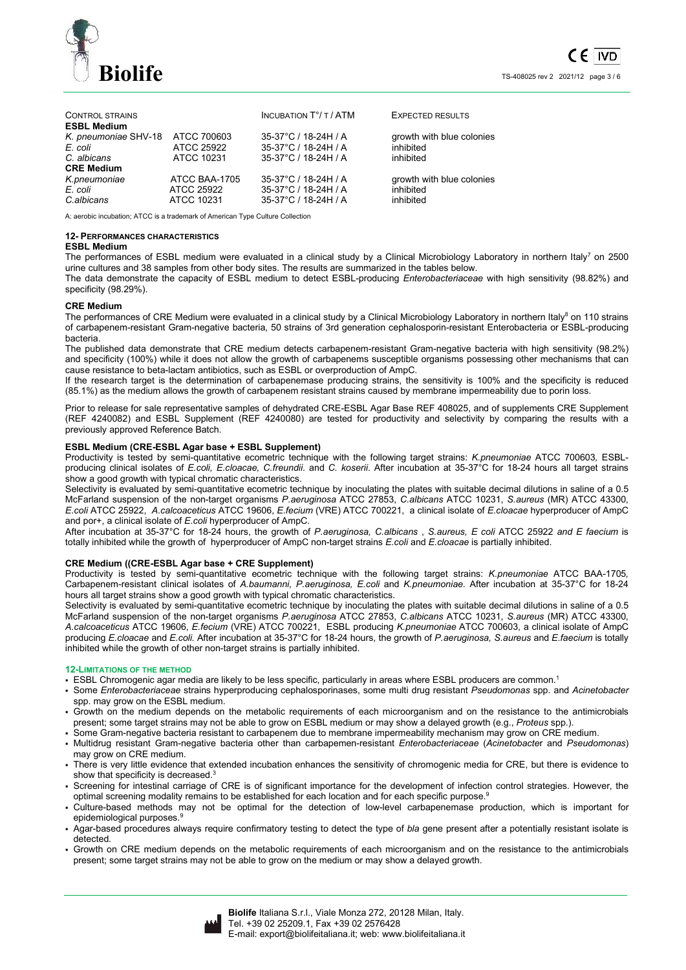

| <b>CONTROL STRAINS</b><br><b>ESBL Medium</b> |               | <b>INCUBATION T°/ T / ATM</b> | <b>EXPECTED RESULTS</b>   |
|----------------------------------------------|---------------|-------------------------------|---------------------------|
| K. pneumoniae SHV-18                         | ATCC 700603   | 35-37°C / 18-24H / A          | growth with blue colonies |
| E. coli                                      | ATCC 25922    | 35-37°C / 18-24H / A          | inhibited                 |
| C. albicans                                  | ATCC 10231    | 35-37°C / 18-24H / A          | inhibited                 |
| <b>CRE Medium</b>                            |               |                               |                           |
| K.pneumoniae                                 | ATCC BAA-1705 | 35-37°C / 18-24H / A          | growth with blue colonies |
| E. coli                                      | ATCC 25922    | 35-37°C / 18-24H / A          | inhibited                 |
| C.albicans                                   | ATCC 10231    | 35-37°C / 18-24H / A          | inhibited                 |

A: aerobic incubation; ATCC is a trademark of American Type Culture Collection

### **12- PERFORMANCES CHARACTERISTICS**

## **ESBL Medium**

The performances of ESBL medium were evaluated in a clinical study by a Clinical Microbiology Laboratory in northern Italy<sup>7</sup> on 2500 urine cultures and 38 samples from other body sites. The results are summarized in the tables below.

The data demonstrate the capacity of ESBL medium to detect ESBL-producing *Enterobacteriaceae* with high sensitivity (98.82%) and specificity (98.29%).

### **CRE Medium**

The performances of CRE Medium were evaluated in a clinical study by a Clinical Microbiology Laboratory in northern Italy<sup>8</sup> on 110 strains of carbapenem-resistant Gram-negative bacteria, 50 strains of 3rd generation cephalosporin-resistant Enterobacteria or ESBL-producing bacteria.

The published data demonstrate that CRE medium detects carbapenem-resistant Gram-negative bacteria with high sensitivity (98.2%) and specificity (100%) while it does not allow the growth of carbapenems susceptible organisms possessing other mechanisms that can cause resistance to beta-lactam antibiotics, such as ESBL or overproduction of AmpC.

If the research target is the determination of carbapenemase producing strains, the sensitivity is 100% and the specificity is reduced (85.1%) as the medium allows the growth of carbapenem resistant strains caused by membrane impermeability due to porin loss.

Prior to release for sale representative samples of dehydrated CRE-ESBL Agar Base REF 408025, and of supplements CRE Supplement (REF 4240082) and ESBL Supplement (REF 4240080) are tested for productivity and selectivity by comparing the results with a previously approved Reference Batch.

## **ESBL Medium (CRE-ESBL Agar base + ESBL Supplement)**

Productivity is tested by semi-quantitative ecometric technique with the following target strains: *K.pneumoniae* ATCC 700603*,* ESBLproducing clinical isolates of *E.coli, E.cloacae, C.freundii*. and *C. koserii*. After incubation at 35-37°C for 18-24 hours all target strains show a good growth with typical chromatic characteristics.

Selectivity is evaluated by semi-quantitative ecometric technique by inoculating the plates with suitable decimal dilutions in saline of a 0.5 McFarland suspension of the non-target organisms *P.aeruginosa* ATCC 27853, *C.albicans* ATCC 10231, *S.aureus* (MR) ATCC 43300, *E.coli* ATCC 25922, *A.calcoaceticus* ATCC 19606, *E.fecium* (VRE) ATCC 700221, a clinical isolate of *E.cloacae* hyperproducer of AmpC and por+, a clinical isolate of *E.coli* hyperproducer of AmpC.

After incubation at 35-37°C for 18-24 hours, the growth of *P.aeruginosa, C.albicans* , *S.aureus, E coli* ATCC 25922 *and E faecium* is totally inhibited while the growth of hyperproducer of AmpC non-target strains *E.coli* and *E.cloacae* is partially inhibited.

## **CRE Medium ((CRE-ESBL Agar base + CRE Supplement)**

Productivity is tested by semi-quantitative ecometric technique with the following target strains: *K.pneumoniae* ATCC BAA-1705*,*  Carbapenem-resistant clinical isolates of *A.baumanni, P.aeruginosa, E.coli* and *K.pneumoniae.* After incubation at 35-37°C for 18-24 hours all target strains show a good growth with typical chromatic characteristics.

Selectivity is evaluated by semi-quantitative ecometric technique by inoculating the plates with suitable decimal dilutions in saline of a 0.5 McFarland suspension of the non-target organisms *P.aeruginosa* ATCC 27853, *C.albicans* ATCC 10231, *S.aureus* (MR) ATCC 43300, *A.calcoaceticus* ATCC 19606, *E.fecium* (VRE) ATCC 700221, ESBL producing *K.pneumoniae* ATCC 700603, a clinical isolate of AmpC producing *E.cloacae* and *E.coli.* After incubation at 35-37°C for 18-24 hours, the growth of *P.aeruginosa, S.aureus* and *E.faecium* is totally inhibited while the growth of other non-target strains is partially inhibited.

#### **12-LIMITATIONS OF THE METHOD**

ESBL Chromogenic agar media are likely to be less specific, particularly in areas where ESBL producers are common.<sup>1</sup>

- Some *Enterobacteriaceae* strains hyperproducing cephalosporinases, some multi drug resistant *Pseudomonas* spp. and *Acinetobacter* spp. may grow on the ESBL medium.
- Growth on the medium depends on the metabolic requirements of each microorganism and on the resistance to the antimicrobials present; some target strains may not be able to grow on ESBL medium or may show a delayed growth (e.g., *Proteus* spp.).
- Some Gram-negative bacteria resistant to carbapenem due to membrane impermeability mechanism may grow on CRE medium.
- Multidrug resistant Gram-negative bacteria other than carbapemen-resistant *Enterobacteriaceae* (*Acinetobacte*r and *Pseudomonas*) may grow on CRE medium.
- There is very little evidence that extended incubation enhances the sensitivity of chromogenic media for CRE, but there is evidence to show that specificity is decreased.<sup>3</sup>
- Screening for intestinal carriage of CRE is of significant importance for the development of infection control strategies. However, the optimal screening modality remains to be established for each location and for each specific purpose.<sup>9</sup>
- Culture-based methods may not be optimal for the detection of low-level carbapenemase production, which is important for epidemiological purposes.<sup>9</sup>
- Agar-based procedures always require confirmatory testing to detect the type of *bla* gene present after a potentially resistant isolate is detected.
- Growth on CRE medium depends on the metabolic requirements of each microorganism and on the resistance to the antimicrobials present; some target strains may not be able to grow on the medium or may show a delayed growth.

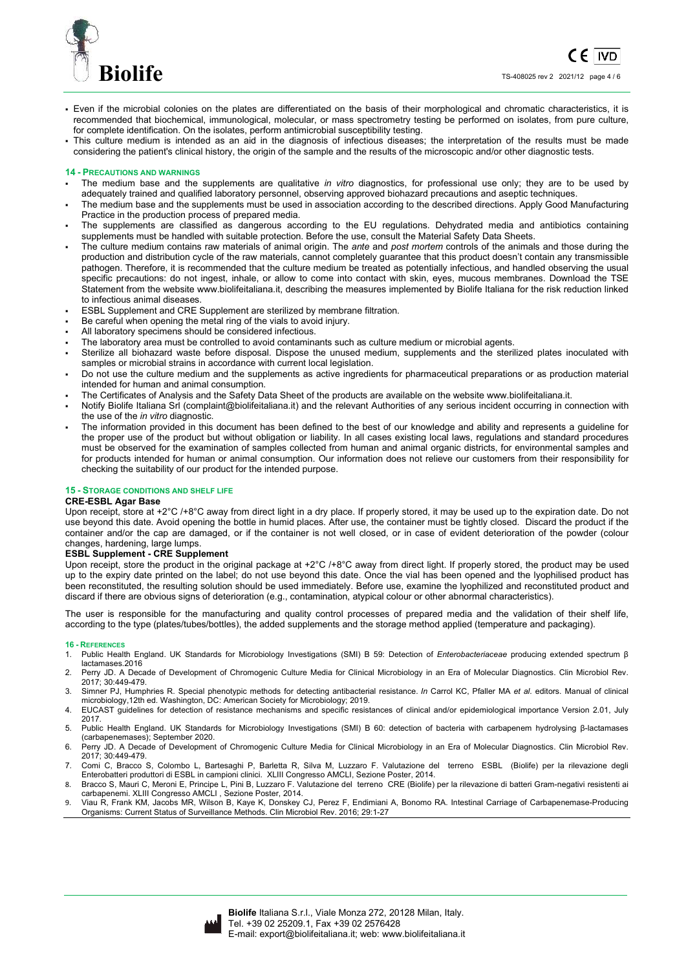

- Even if the microbial colonies on the plates are differentiated on the basis of their morphological and chromatic characteristics, it is recommended that biochemical, immunological, molecular, or mass spectrometry testing be performed on isolates, from pure culture, for complete identification. On the isolates, perform antimicrobial susceptibility testing.
- This culture medium is intended as an aid in the diagnosis of infectious diseases; the interpretation of the results must be made considering the patient's clinical history, the origin of the sample and the results of the microscopic and/or other diagnostic tests.

### **14 - PRECAUTIONS AND WARNINGS**

- The medium base and the supplements are qualitative *in vitro* diagnostics, for professional use only; they are to be used by adequately trained and qualified laboratory personnel, observing approved biohazard precautions and aseptic techniques.
- The medium base and the supplements must be used in association according to the described directions. Apply Good Manufacturing Practice in the production process of prepared media.
- The supplements are classified as dangerous according to the EU regulations. Dehydrated media and antibiotics containing supplements must be handled with suitable protection. Before the use, consult the Material Safety Data Sheets.
- The culture medium contains raw materials of animal origin. The *ante* and *post mortem* controls of the animals and those during the production and distribution cycle of the raw materials, cannot completely guarantee that this product doesn't contain any transmissible pathogen. Therefore, it is recommended that the culture medium be treated as potentially infectious, and handled observing the usual specific precautions: do not ingest, inhale, or allow to come into contact with skin, eyes, mucous membranes. Download the TSE Statement from the website www.biolifeitaliana.it, describing the measures implemented by Biolife Italiana for the risk reduction linked to infectious animal diseases.
- ESBL Supplement and CRE Supplement are sterilized by membrane filtration.
- Be careful when opening the metal ring of the vials to avoid injury.
- All laboratory specimens should be considered infectious.
- The laboratory area must be controlled to avoid contaminants such as culture medium or microbial agents.
- Sterilize all biohazard waste before disposal. Dispose the unused medium, supplements and the sterilized plates inoculated with samples or microbial strains in accordance with current local legislation.
- Do not use the culture medium and the supplements as active ingredients for pharmaceutical preparations or as production material intended for human and animal consumption.
- The Certificates of Analysis and the Safety Data Sheet of the products are available on the website www.biolifeitaliana.it.
- Notify Biolife Italiana Srl (complaint@biolifeitaliana.it) and the relevant Authorities of any serious incident occurring in connection with the use of the *in vitro* diagnostic.
- The information provided in this document has been defined to the best of our knowledge and ability and represents a guideline for the proper use of the product but without obligation or liability. In all cases existing local laws, regulations and standard procedures must be observed for the examination of samples collected from human and animal organic districts, for environmental samples and for products intended for human or animal consumption. Our information does not relieve our customers from their responsibility for checking the suitability of our product for the intended purpose.

## **15 - STORAGE CONDITIONS AND SHELF LIFE**

#### **CRE-ESBL Agar Base**

Upon receipt, store at +2°C /+8°C away from direct light in a dry place. If properly stored, it may be used up to the expiration date. Do not use beyond this date. Avoid opening the bottle in humid places. After use, the container must be tightly closed. Discard the product if the container and/or the cap are damaged, or if the container is not well closed, or in case of evident deterioration of the powder (colour changes, hardening, large lumps.

## **ESBL Supplement - CRE Supplement**

Upon receipt, store the product in the original package at +2°C /+8°C away from direct light. If properly stored, the product may be used up to the expiry date printed on the label; do not use beyond this date. Once the vial has been opened and the lyophilised product has been reconstituted, the resulting solution should be used immediately. Before use, examine the lyophilized and reconstituted product and discard if there are obvious signs of deterioration (e.g., contamination, atypical colour or other abnormal characteristics).

The user is responsible for the manufacturing and quality control processes of prepared media and the validation of their shelf life, according to the type (plates/tubes/bottles), the added supplements and the storage method applied (temperature and packaging).

#### **16 - REFERENCES**

- 1. Public Health England. UK Standards for Microbiology Investigations (SMI) B 59: Detection of *Enterobacteriaceae* producing extended spectrum β lactamases.2016
- 2. Perry JD. A Decade of Development of Chromogenic Culture Media for Clinical Microbiology in an Era of Molecular Diagnostics. Clin Microbiol Rev. 2017; 30:449-479.
- 3. Simner PJ, Humphries R. Special phenotypic methods for detecting antibacterial resistance. *In* Carrol KC, Pfaller MA *et al*. editors. Manual of clinical microbiology,12th ed. Washington, DC: American Society for Microbiology; 2019.
- 4. EUCAST guidelines for detection of resistance mechanisms and specific resistances of clinical and/or epidemiological importance Version 2.01, July 2017.
- 5. Public Health England. UK Standards for Microbiology Investigations (SMI) B 60: detection of bacteria with carbapenem hydrolysing β-lactamases (carbapenemases); September 2020.
- 6. Perry JD. A Decade of Development of Chromogenic Culture Media for Clinical Microbiology in an Era of Molecular Diagnostics. Clin Microbiol Rev. 2017; 30:449-479.
- 7. Comi C, Bracco S, Colombo L, Bartesaghi P, Barletta R, Silva M, Luzzaro F. Valutazione del terreno ESBL (Biolife) per la rilevazione degli Enterobatteri produttori di ESBL in campioni clinici. XLIII Congresso AMCLI, Sezione Poster, 2014.
- 8. Bracco S, Mauri C, Meroni E, Principe L, Pini B, Luzzaro F. Valutazione del terreno CRE (Biolife) per la rilevazione di batteri Gram-negativi resistenti ai carbapenemi. XLIII Congresso AMCLI , Sezione Poster, 2014.
- 9. Viau R, Frank KM, Jacobs MR, Wilson B, Kaye K, Donskey CJ, Perez F, Endimiani A, Bonomo RA. Intestinal Carriage of Carbapenemase-Producing Organisms: Current Status of Surveillance Methods. Clin Microbiol Rev. 2016; 29:1-27

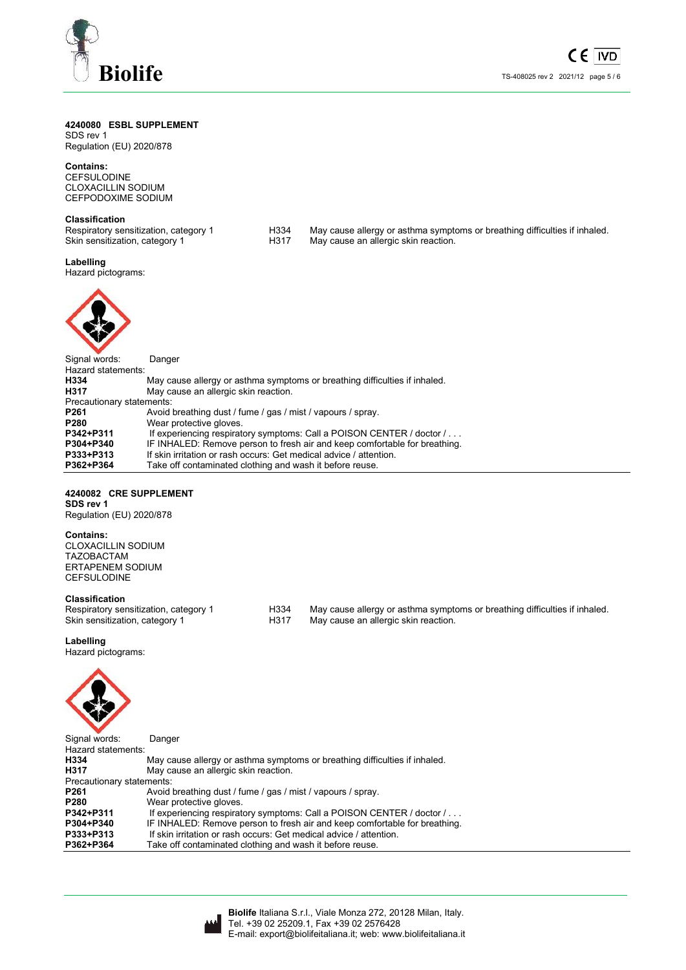

# **4240080 ESBL SUPPLEMENT**

SDS rev 1 Regulation (EU) 2020/878

**Contains:**  CEFSULODINE CLOXACILLIN SODIUM CEFPODOXIME SODIUM

**Classification**<br>Respiratory sensitization, category 1

- 
- Respiratory sensitization, category 1 H334 May cause allergy or asthma symptoms or breathing difficulties if inhaled.<br>Skin sensitization, category 1 H317 May cause an allergic skin reaction. May cause an allergic skin reaction.

## **Labelling**

Hazard pictograms:



| Signal words:             | Danger                                                                     |
|---------------------------|----------------------------------------------------------------------------|
| Hazard statements:        |                                                                            |
| H334                      | May cause allergy or asthma symptoms or breathing difficulties if inhaled. |
| H317                      | May cause an allergic skin reaction.                                       |
| Precautionary statements: |                                                                            |
| P <sub>261</sub>          | Avoid breathing dust / fume / gas / mist / vapours / spray.                |
| P <sub>280</sub>          | Wear protective gloves.                                                    |
| P342+P311                 | If experiencing respiratory symptoms: Call a POISON CENTER / doctor /      |
| P304+P340                 | IF INHALED: Remove person to fresh air and keep comfortable for breathing. |
| P333+P313                 | If skin irritation or rash occurs: Get medical advice / attention.         |
| P362+P364                 | Take off contaminated clothing and wash it before reuse.                   |

# **4240082 CRE SUPPLEMENT**

**SDS rev 1**  Regulation (EU) 2020/878

# **Contains:**

CLOXACILLIN SODIUM TAZOBACTAM ERTAPENEM SODIUM CEFSULODINE

**Classification**<br>Respiratory sensitization, category 1

H334 May cause allergy or asthma symptoms or breathing difficulties if inhaled. Skin sensitization, category 1 H317 May cause an allergic skin reaction.

## **Labelling**

Hazard pictograms:



| Signal words:             | Danger                                                                     |
|---------------------------|----------------------------------------------------------------------------|
| Hazard statements:        |                                                                            |
| H334                      | May cause allergy or asthma symptoms or breathing difficulties if inhaled. |
| H317                      | May cause an allergic skin reaction.                                       |
| Precautionary statements: |                                                                            |
| P <sub>261</sub>          | Avoid breathing dust / fume / gas / mist / vapours / spray.                |
| P <sub>280</sub>          | Wear protective gloves.                                                    |
| P342+P311                 | If experiencing respiratory symptoms: Call a POISON CENTER / doctor /      |
| P304+P340                 | IF INHALED: Remove person to fresh air and keep comfortable for breathing. |
| P333+P313                 | If skin irritation or rash occurs: Get medical advice / attention.         |
| P362+P364                 | Take off contaminated clothing and wash it before reuse.                   |